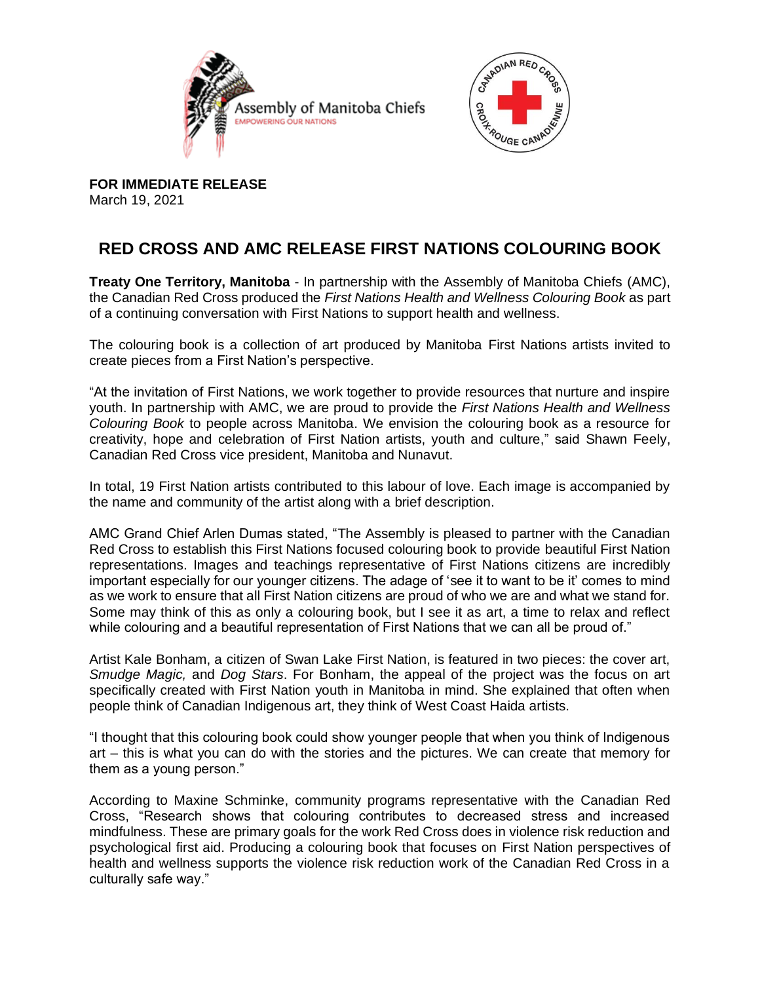



**FOR IMMEDIATE RELEASE** March 19, 2021

## **RED CROSS AND AMC RELEASE FIRST NATIONS COLOURING BOOK**

**Treaty One Territory, Manitoba** - In partnership with the Assembly of Manitoba Chiefs (AMC), the Canadian Red Cross produced the *First Nations Health and Wellness Colouring Book* as part of a continuing conversation with First Nations to support health and wellness.

The colouring book is a collection of art produced by Manitoba First Nations artists invited to create pieces from a First Nation's perspective.

"At the invitation of First Nations, we work together to provide resources that nurture and inspire youth. In partnership with AMC, we are proud to provide the *First Nations Health and Wellness Colouring Book* to people across Manitoba. We envision the colouring book as a resource for creativity, hope and celebration of First Nation artists, youth and culture," said Shawn Feely, Canadian Red Cross vice president, Manitoba and Nunavut.

In total, 19 First Nation artists contributed to this labour of love. Each image is accompanied by the name and community of the artist along with a brief description.

AMC Grand Chief Arlen Dumas stated, "The Assembly is pleased to partner with the Canadian Red Cross to establish this First Nations focused colouring book to provide beautiful First Nation representations. Images and teachings representative of First Nations citizens are incredibly important especially for our younger citizens. The adage of 'see it to want to be it' comes to mind as we work to ensure that all First Nation citizens are proud of who we are and what we stand for. Some may think of this as only a colouring book, but I see it as art, a time to relax and reflect while colouring and a beautiful representation of First Nations that we can all be proud of."

Artist Kale Bonham, a citizen of Swan Lake First Nation, is featured in two pieces: the cover art, *Smudge Magic,* and *Dog Stars*. For Bonham, the appeal of the project was the focus on art specifically created with First Nation youth in Manitoba in mind. She explained that often when people think of Canadian Indigenous art, they think of West Coast Haida artists.

"I thought that this colouring book could show younger people that when you think of Indigenous art – this is what you can do with the stories and the pictures. We can create that memory for them as a young person."

According to Maxine Schminke, community programs representative with the Canadian Red Cross, "Research shows that colouring contributes to decreased stress and increased mindfulness. These are primary goals for the work Red Cross does in violence risk reduction and psychological first aid. Producing a colouring book that focuses on First Nation perspectives of health and wellness supports the violence risk reduction work of the Canadian Red Cross in a culturally safe way."